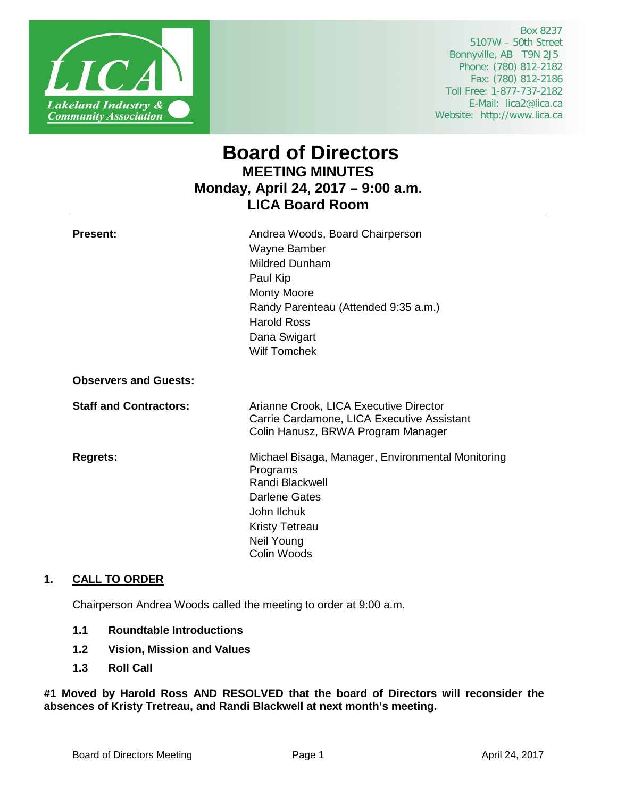

 Box 8237 5107W – 50th Street Bonnyville, AB T9N 2J5 Phone: (780) 812-2182 Fax: (780) 812-2186 Toll Free: 1-877-737-2182 E-Mail: lica2@lica.ca Website: http://www.lica.ca

# **Board of Directors MEETING MINUTES Monday, April 24, 2017 – 9:00 a.m. LICA Board Room**

| <b>Present:</b>               | Andrea Woods, Board Chairperson<br>Wayne Bamber<br><b>Mildred Dunham</b><br>Paul Kip<br><b>Monty Moore</b><br>Randy Parenteau (Attended 9:35 a.m.)<br><b>Harold Ross</b><br>Dana Swigart<br><b>Wilf Tomchek</b> |
|-------------------------------|-----------------------------------------------------------------------------------------------------------------------------------------------------------------------------------------------------------------|
| <b>Observers and Guests:</b>  |                                                                                                                                                                                                                 |
| <b>Staff and Contractors:</b> | Arianne Crook, LICA Executive Director<br>Carrie Cardamone, LICA Executive Assistant<br>Colin Hanusz, BRWA Program Manager                                                                                      |
| <b>Regrets:</b>               | Michael Bisaga, Manager, Environmental Monitoring<br>Programs<br>Randi Blackwell<br>Darlene Gates<br>John Ilchuk<br><b>Kristy Tetreau</b><br>Neil Young<br>Colin Woods                                          |

# **1. CALL TO ORDER**

Chairperson Andrea Woods called the meeting to order at 9:00 a.m.

- **1.1 Roundtable Introductions**
- **1.2 Vision, Mission and Values**
- **1.3 Roll Call**

**#1 Moved by Harold Ross AND RESOLVED that the board of Directors will reconsider the absences of Kristy Tretreau, and Randi Blackwell at next month's meeting.**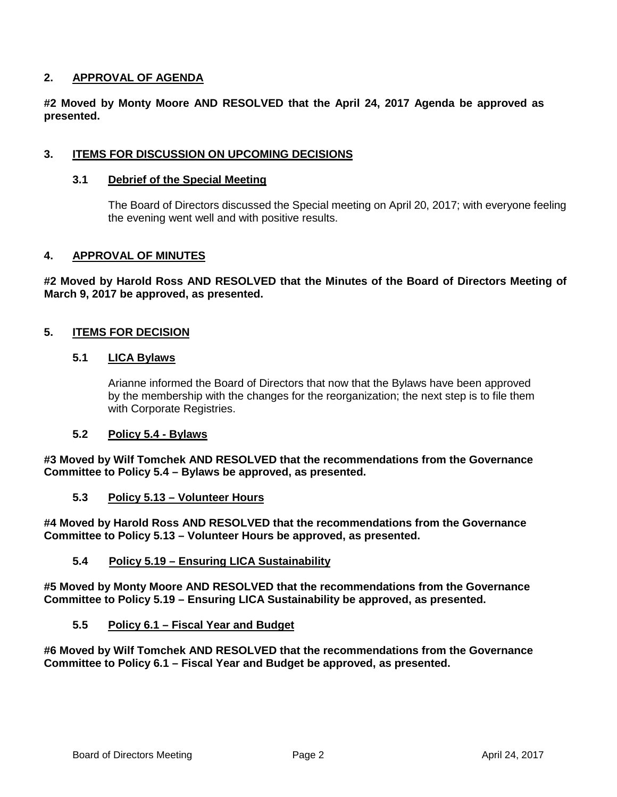# **2. APPROVAL OF AGENDA**

**#2 Moved by Monty Moore AND RESOLVED that the April 24, 2017 Agenda be approved as presented.** 

# **3. ITEMS FOR DISCUSSION ON UPCOMING DECISIONS**

# **3.1 Debrief of the Special Meeting**

The Board of Directors discussed the Special meeting on April 20, 2017; with everyone feeling the evening went well and with positive results.

#### **4. APPROVAL OF MINUTES**

**#2 Moved by Harold Ross AND RESOLVED that the Minutes of the Board of Directors Meeting of March 9, 2017 be approved, as presented.**

# **5. ITEMS FOR DECISION**

#### **5.1 LICA Bylaws**

Arianne informed the Board of Directors that now that the Bylaws have been approved by the membership with the changes for the reorganization; the next step is to file them with Corporate Registries.

# **5.2 Policy 5.4 - Bylaws**

**#3 Moved by Wilf Tomchek AND RESOLVED that the recommendations from the Governance Committee to Policy 5.4 – Bylaws be approved, as presented.**

#### **5.3 Policy 5.13 – Volunteer Hours**

**#4 Moved by Harold Ross AND RESOLVED that the recommendations from the Governance Committee to Policy 5.13 – Volunteer Hours be approved, as presented.**

#### **5.4 Policy 5.19 – Ensuring LICA Sustainability**

**#5 Moved by Monty Moore AND RESOLVED that the recommendations from the Governance Committee to Policy 5.19 – Ensuring LICA Sustainability be approved, as presented.**

#### **5.5 Policy 6.1 – Fiscal Year and Budget**

**#6 Moved by Wilf Tomchek AND RESOLVED that the recommendations from the Governance Committee to Policy 6.1 – Fiscal Year and Budget be approved, as presented.**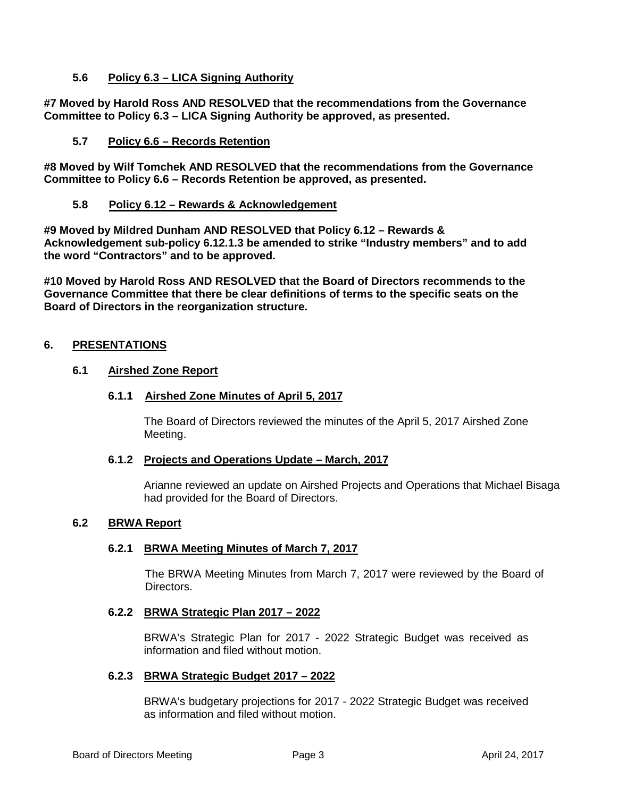## **5.6 Policy 6.3 – LICA Signing Authority**

**#7 Moved by Harold Ross AND RESOLVED that the recommendations from the Governance Committee to Policy 6.3 – LICA Signing Authority be approved, as presented.**

## **5.7 Policy 6.6 – Records Retention**

**#8 Moved by Wilf Tomchek AND RESOLVED that the recommendations from the Governance Committee to Policy 6.6 – Records Retention be approved, as presented.**

#### **5.8 Policy 6.12 – Rewards & Acknowledgement**

**#9 Moved by Mildred Dunham AND RESOLVED that Policy 6.12 – Rewards & Acknowledgement sub-policy 6.12.1.3 be amended to strike "Industry members" and to add the word "Contractors" and to be approved.**

**#10 Moved by Harold Ross AND RESOLVED that the Board of Directors recommends to the Governance Committee that there be clear definitions of terms to the specific seats on the Board of Directors in the reorganization structure.**

#### **6. PRESENTATIONS**

#### **6.1 Airshed Zone Report**

#### **6.1.1 Airshed Zone Minutes of April 5, 2017**

The Board of Directors reviewed the minutes of the April 5, 2017 Airshed Zone Meeting.

#### **6.1.2 Projects and Operations Update – March, 2017**

Arianne reviewed an update on Airshed Projects and Operations that Michael Bisaga had provided for the Board of Directors.

#### **6.2 BRWA Report**

#### **6.2.1 BRWA Meeting Minutes of March 7, 2017**

The BRWA Meeting Minutes from March 7, 2017 were reviewed by the Board of Directors.

#### **6.2.2 BRWA Strategic Plan 2017 – 2022**

BRWA's Strategic Plan for 2017 - 2022 Strategic Budget was received as information and filed without motion.

#### **6.2.3 BRWA Strategic Budget 2017 – 2022**

BRWA's budgetary projections for 2017 - 2022 Strategic Budget was received as information and filed without motion.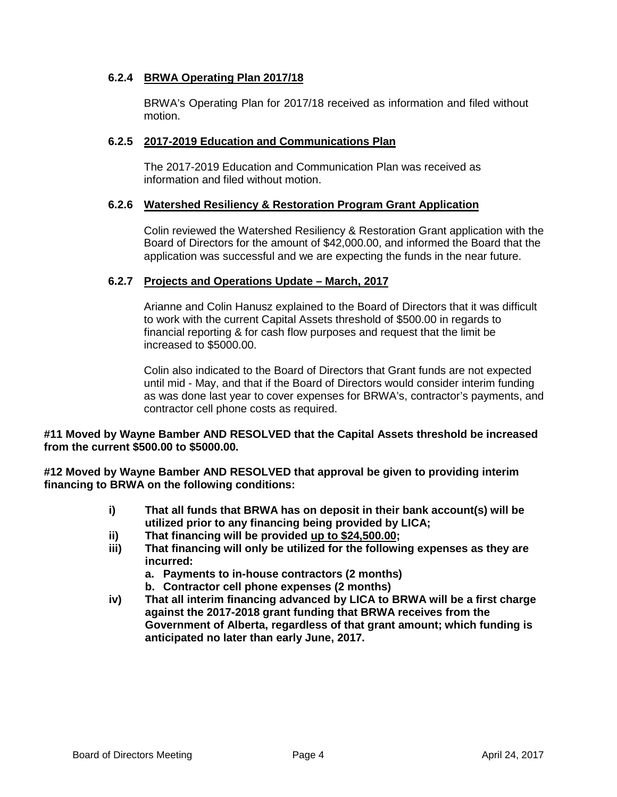# **6.2.4 BRWA Operating Plan 2017/18**

BRWA's Operating Plan for 2017/18 received as information and filed without motion.

#### **6.2.5 2017-2019 Education and Communications Plan**

The 2017-2019 Education and Communication Plan was received as information and filed without motion.

#### **6.2.6 Watershed Resiliency & Restoration Program Grant Application**

Colin reviewed the Watershed Resiliency & Restoration Grant application with the Board of Directors for the amount of \$42,000.00, and informed the Board that the application was successful and we are expecting the funds in the near future.

# **6.2.7 Projects and Operations Update – March, 2017**

Arianne and Colin Hanusz explained to the Board of Directors that it was difficult to work with the current Capital Assets threshold of \$500.00 in regards to financial reporting & for cash flow purposes and request that the limit be increased to \$5000.00.

Colin also indicated to the Board of Directors that Grant funds are not expected until mid - May, and that if the Board of Directors would consider interim funding as was done last year to cover expenses for BRWA's, contractor's payments, and contractor cell phone costs as required.

#### **#11 Moved by Wayne Bamber AND RESOLVED that the Capital Assets threshold be increased from the current \$500.00 to \$5000.00.**

**#12 Moved by Wayne Bamber AND RESOLVED that approval be given to providing interim financing to BRWA on the following conditions:**

- **i) That all funds that BRWA has on deposit in their bank account(s) will be utilized prior to any financing being provided by LICA;**
- **ii) That financing will be provided up to \$24,500.00;**
- **iii) That financing will only be utilized for the following expenses as they are incurred:**
	- **a. Payments to in-house contractors (2 months)**
	- **b. Contractor cell phone expenses (2 months)**
- **iv) That all interim financing advanced by LICA to BRWA will be a first charge against the 2017-2018 grant funding that BRWA receives from the Government of Alberta, regardless of that grant amount; which funding is anticipated no later than early June, 2017.**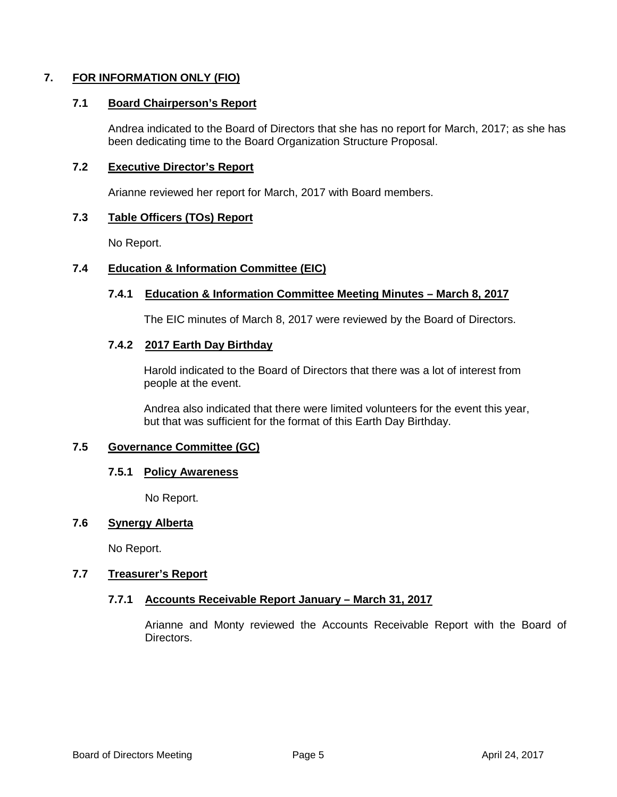# **7. FOR INFORMATION ONLY (FIO)**

## **7.1 Board Chairperson's Report**

Andrea indicated to the Board of Directors that she has no report for March, 2017; as she has been dedicating time to the Board Organization Structure Proposal.

### **7.2 Executive Director's Report**

Arianne reviewed her report for March, 2017 with Board members.

# **7.3 Table Officers (TOs) Report**

No Report.

# **7.4 Education & Information Committee (EIC)**

#### **7.4.1 Education & Information Committee Meeting Minutes – March 8, 2017**

The EIC minutes of March 8, 2017 were reviewed by the Board of Directors.

#### **7.4.2 2017 Earth Day Birthday**

Harold indicated to the Board of Directors that there was a lot of interest from people at the event.

Andrea also indicated that there were limited volunteers for the event this year, but that was sufficient for the format of this Earth Day Birthday.

#### **7.5 Governance Committee (GC)**

#### **7.5.1 Policy Awareness**

No Report.

# **7.6 Synergy Alberta**

No Report.

#### **7.7 Treasurer's Report**

#### **7.7.1 Accounts Receivable Report January – March 31, 2017**

Arianne and Monty reviewed the Accounts Receivable Report with the Board of Directors.